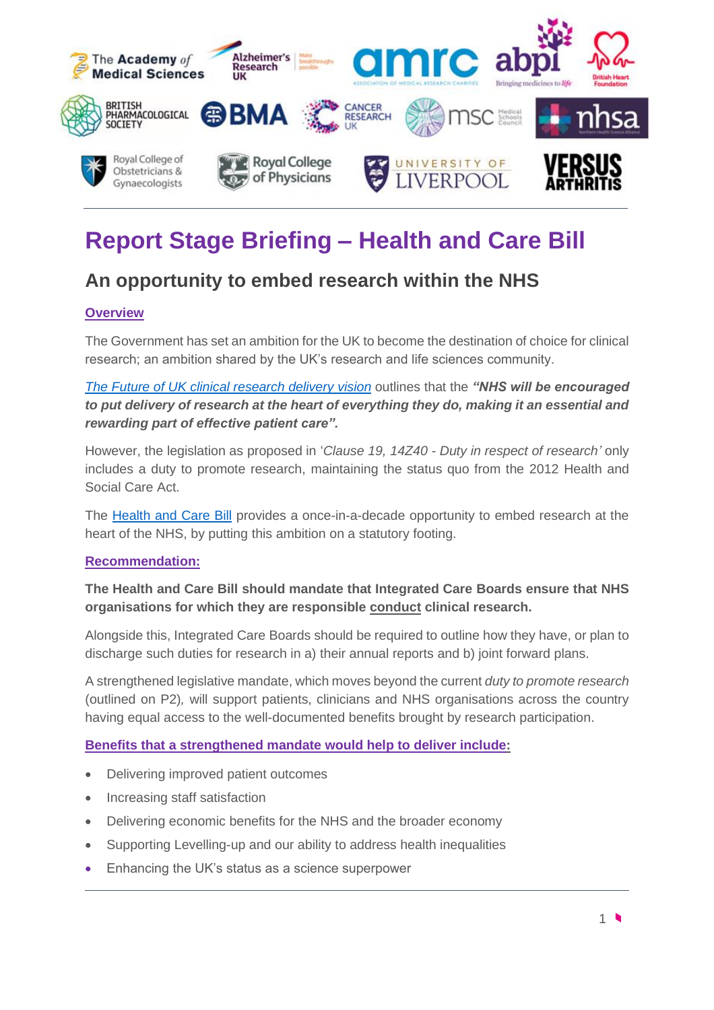

# **Report Stage Briefing – Health and Care Bill**

# **An opportunity to embed research within the NHS**

# **Overview**

The Government has set an ambition for the UK to become the destination of choice for clinical research; an ambition shared by the UK's research and life sciences community.

*The [Future of UK clinical research delivery](https://www.gov.uk/government/news/uk-government-sets-out-bold-vision-for-the-future-of-clinical-research-delivery) vision* outlines that the *"NHS will be encouraged to put delivery of research at the heart of everything they do, making it an essential and rewarding part of effective patient care".*

However, the legislation as proposed in '*Clause 19, 14Z40 - Duty in respect of research'* only includes a duty to promote research, maintaining the status quo from the 2012 Health and Social Care Act.

The [Health and Care Bill](https://bills.parliament.uk/bills/3022) provides a once-in-a-decade opportunity to embed research at the heart of the NHS, by putting this ambition on a statutory footing.

#### **Recommendation:**

# **The Health and Care Bill should mandate that Integrated Care Boards ensure that NHS organisations for which they are responsible conduct clinical research.**

Alongside this, Integrated Care Boards should be required to outline how they have, or plan to discharge such duties for research in a) their annual reports and b) joint forward plans.

A strengthened legislative mandate, which moves beyond the current *duty to promote research* (outlined on P2)*,* will support patients, clinicians and NHS organisations across the country having equal access to the well-documented benefits brought by research participation.

#### **Benefits that a strengthened mandate would help to deliver include:**

- Delivering improved patient outcomes
- Increasing staff satisfaction
- Delivering economic benefits for the NHS and the broader economy
- Supporting Levelling-up and our ability to address health inequalities
- Enhancing the UK's status as a science superpower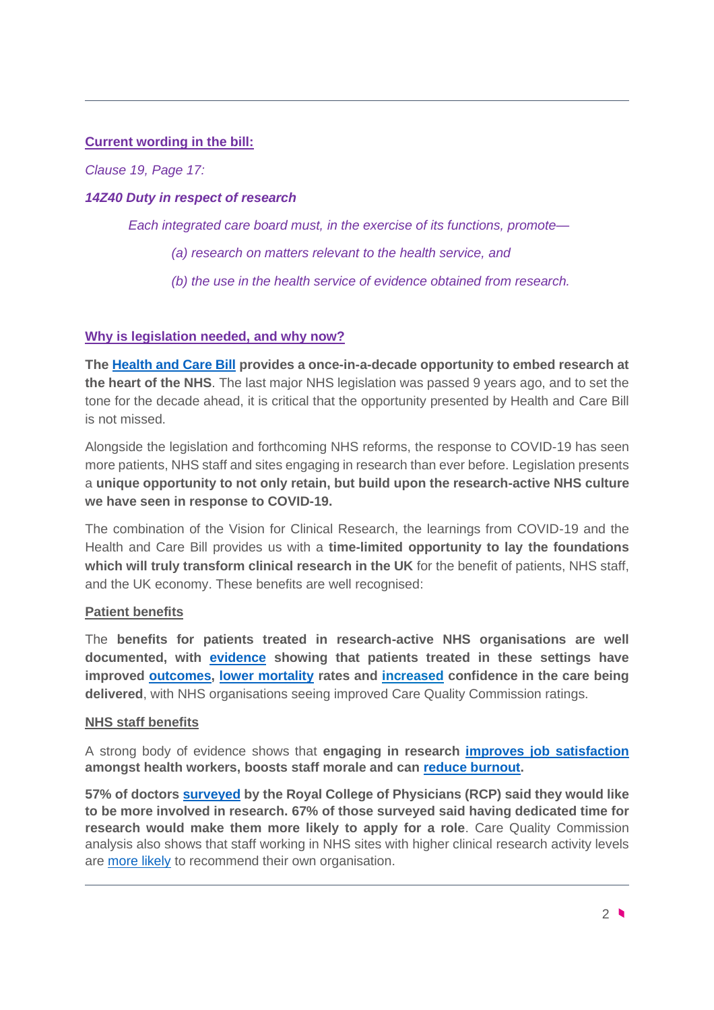#### **Current wording in the bill:**

*Clause 19, Page 17:* 

#### *14Z40 Duty in respect of research*

*Each integrated care board must, in the exercise of its functions, promote—*

*(a) research on matters relevant to the health service, and* 

*(b) the use in the health service of evidence obtained from research.*

#### **Why is legislation needed, and why now?**

**The [Health and Care Bill](https://www.gov.uk/government/publications/working-together-to-improve-health-and-social-care-for-all/integration-and-innovation-working-together-to-improve-health-and-social-care-for-all-html-version) provides a once-in-a-decade opportunity to embed research at the heart of the NHS**. The last major NHS legislation was passed 9 years ago, and to set the tone for the decade ahead, it is critical that the opportunity presented by Health and Care Bill is not missed.

Alongside the legislation and forthcoming NHS reforms, the response to COVID-19 has seen more patients, NHS staff and sites engaging in research than ever before. Legislation presents a **unique opportunity to not only retain, but build upon the research-active NHS culture we have seen in response to COVID-19.**

The combination of the Vision for Clinical Research, the learnings from COVID-19 and the Health and Care Bill provides us with a **time-limited opportunity to lay the foundations which will truly transform clinical research in the UK** for the benefit of patients, NHS staff, and the UK economy. These benefits are well recognised:

#### **Patient benefits**

The **benefits for patients treated in research-active NHS organisations are well documented, with [evidence](https://www.nihr.ac.uk/health-and-care-professionals/engagement-and-participation-in-research/embedding-a-research-culture.htm) showing that patients treated in these settings have improved [outcomes, lower mortality](https://pubmed.ncbi.nlm.nih.gov/27797935/) rates and [increased](https://onlinelibrary.wiley.com/doi/10.1111/jep.13118) confidence in the care being delivered**, with NHS organisations seeing improved Care Quality Commission ratings.

#### **NHS staff benefits**

A strong body of evidence shows that **engaging in research [improves job satisfaction](https://bmchealthservres.biomedcentral.com/articles/10.1186/s12913-017-1996-7) amongst health workers, boosts staff morale and can [reduce burnout.](https://pubmed.ncbi.nlm.nih.gov/19468093/)**

**57% of doctors [surveyed](https://www.rcplondon.ac.uk/projects/outputs/research-all-analysis-clinical-participation-research) by the Royal College of Physicians (RCP) said they would like to be more involved in research. 67% of those surveyed said having dedicated time for research would make them more likely to apply for a role**. Care Quality Commission analysis also shows that staff working in NHS sites with higher clinical research activity levels are [more likely](https://pubmed.ncbi.nlm.nih.gov/19468093/) to recommend their own organisation.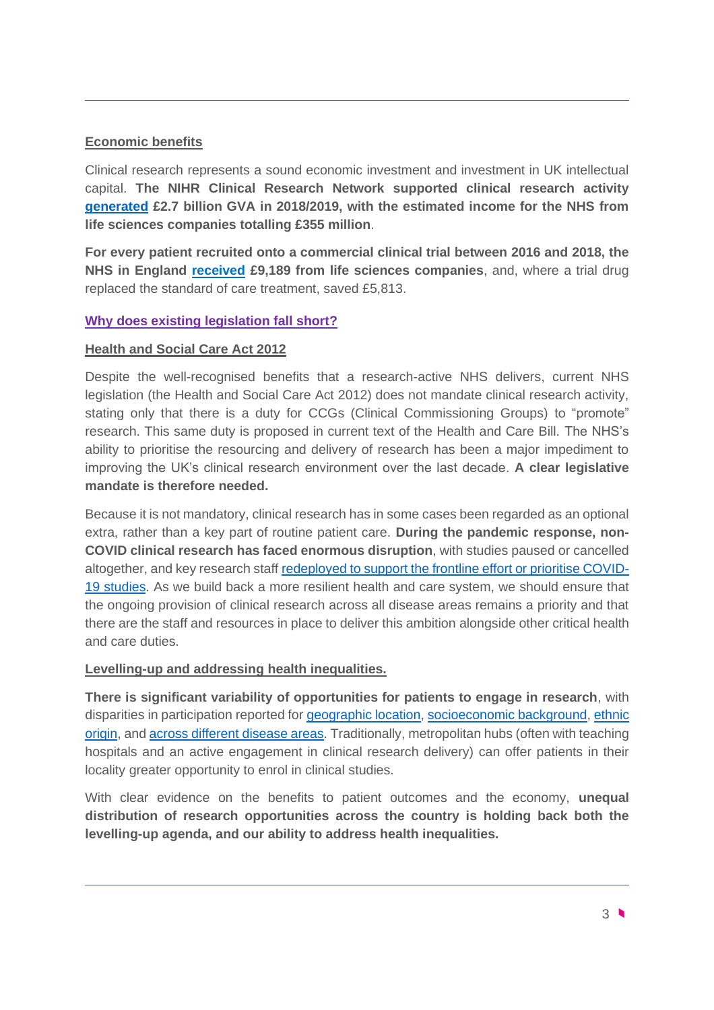### **Economic benefits**

Clinical research represents a sound economic investment and investment in UK intellectual capital. **The NIHR Clinical Research Network supported clinical research activity [generated](https://www.nihr.ac.uk/news/new-report-highlights-how-nihr-support-for-clinical-research-benefits-the-uk-economy-and-nhs/22489) £2.7 billion GVA in 2018/2019, with the estimated income for the NHS from life sciences companies totalling £355 million**.

**For every patient recruited onto a commercial clinical trial between 2016 and 2018, the NHS in England [received](https://www.nihr.ac.uk/documents/%20impact-and-value-of-the-nihr-clinical-research-network-2019-%20infographic-summarising-key-findings/22486) £9,189 from life sciences companies**, and, where a trial drug replaced the standard of care treatment, saved £5,813.

# **Why does existing legislation fall short?**

#### **Health and Social Care Act 2012**

Despite the well-recognised benefits that a research-active NHS delivers, current NHS legislation (the Health and Social Care Act 2012) does not mandate clinical research activity, stating only that there is a duty for CCGs (Clinical Commissioning Groups) to "promote" research. This same duty is proposed in current text of the Health and Care Bill. The NHS's ability to prioritise the resourcing and delivery of research has been a major impediment to improving the UK's clinical research environment over the last decade. **A clear legislative mandate is therefore needed.** 

Because it is not mandatory, clinical research has in some cases been regarded as an optional extra, rather than a key part of routine patient care. **During the pandemic response, non-COVID clinical research has faced enormous disruption**, with studies paused or cancelled altogether, and key research staff [redeployed to support the frontline effort or prioritise COVID-](https://www.bmj.com/content/368/bmj.m1172)[19 studies.](https://www.bmj.com/content/368/bmj.m1172) As we build back a more resilient health and care system, we should ensure that the ongoing provision of clinical research across all disease areas remains a priority and that there are the staff and resources in place to deliver this ambition alongside other critical health and care duties.

#### **Levelling-up and addressing health inequalities.**

**There is significant variability of opportunities for patients to engage in research**, with disparities in participation reported for [geographic location,](https://bmcmedicine.biomedcentral.com/articles/10.1186/s12916-020-01555-4) [socioeconomic background,](https://www.ncbi.nlm.nih.gov/pmc/articles/PMC4453719/) ethnic [origin,](https://www.ncbi.nlm.nih.gov/pmc/articles/PMC214058/) and [across different disease areas.](https://www.alzheimersresearchuk.org/wp-content/uploads/2021/05/FUTURE-OF-CLINICAL-TRIALS-FINAL.pdf) Traditionally, metropolitan hubs (often with teaching hospitals and an active engagement in clinical research delivery) can offer patients in their locality greater opportunity to enrol in clinical studies.

With clear evidence on the benefits to patient outcomes and the economy, **unequal distribution of research opportunities across the country is holding back both the levelling-up agenda, and our ability to address health inequalities.**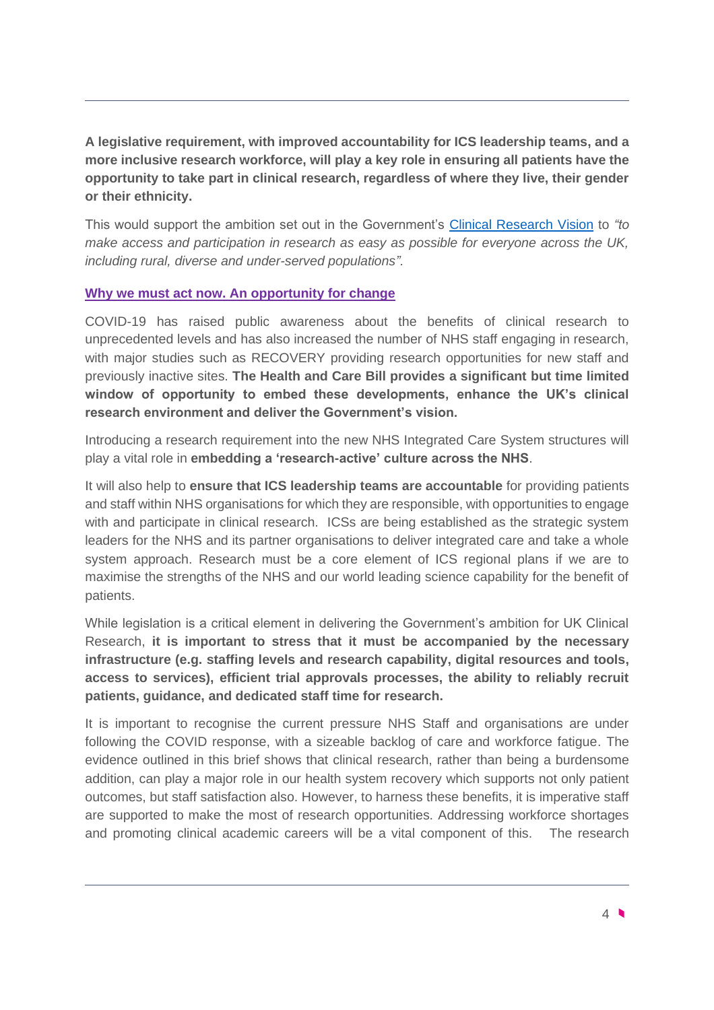**A legislative requirement, with improved accountability for ICS leadership teams, and a more inclusive research workforce, will play a key role in ensuring all patients have the opportunity to take part in clinical research, regardless of where they live, their gender or their ethnicity.**

This would support the ambition set out in the Government's [Clinical Research Vision](https://www.gov.uk/government/news/uk-government-sets-out-bold-vision-for-the-future-of-clinical-research-delivery) to *"to make access and participation in research as easy as possible for everyone across the UK, including rural, diverse and under-served populations".* 

# **Why we must act now. An opportunity for change**

COVID-19 has raised public awareness about the benefits of clinical research to unprecedented levels and has also increased the number of NHS staff engaging in research, with major studies such as RECOVERY providing research opportunities for new staff and previously inactive sites. **The Health and Care Bill provides a significant but time limited window of opportunity to embed these developments, enhance the UK's clinical research environment and deliver the Government's vision.** 

Introducing a research requirement into the new NHS Integrated Care System structures will play a vital role in **embedding a 'research-active' culture across the NHS**.

It will also help to **ensure that ICS leadership teams are accountable** for providing patients and staff within NHS organisations for which they are responsible, with opportunities to engage with and participate in clinical research. ICSs are being established as the strategic system leaders for the NHS and its partner organisations to deliver integrated care and take a whole system approach. Research must be a core element of ICS regional plans if we are to maximise the strengths of the NHS and our world leading science capability for the benefit of patients.

While legislation is a critical element in delivering the Government's ambition for UK Clinical Research, **it is important to stress that it must be accompanied by the necessary infrastructure (e.g. staffing levels and research capability, digital resources and tools, access to services), efficient trial approvals processes, the ability to reliably recruit patients, guidance, and dedicated staff time for research.** 

It is important to recognise the current pressure NHS Staff and organisations are under following the COVID response, with a sizeable backlog of care and workforce fatigue. The evidence outlined in this brief shows that clinical research, rather than being a burdensome addition, can play a major role in our health system recovery which supports not only patient outcomes, but staff satisfaction also. However, to harness these benefits, it is imperative staff are supported to make the most of research opportunities. Addressing workforce shortages and promoting clinical academic careers will be a vital component of this. The research